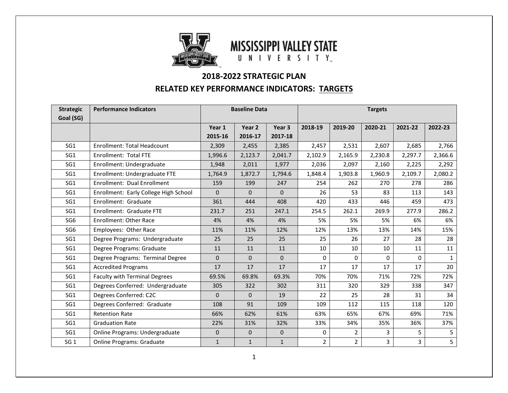

# **MISSISSIPPI VALLEY STATE** UNIVERSITY

# **2018-2022 STRATEGIC PLAN**

### **RELATED KEY PERFORMANCE INDICATORS: TARGETS**

| <b>Strategic</b><br>Goal (SG) | <b>Performance Indicators</b>         | <b>Baseline Data</b> |              | <b>Targets</b> |                |                |         |          |              |
|-------------------------------|---------------------------------------|----------------------|--------------|----------------|----------------|----------------|---------|----------|--------------|
|                               |                                       | Year 1               | Year 2       | Year 3         | 2018-19        | 2019-20        | 2020-21 | 2021-22  | 2022-23      |
|                               |                                       | 2015-16              | 2016-17      | 2017-18        |                |                |         |          |              |
| SG <sub>1</sub>               | <b>Enrollment: Total Headcount</b>    | 2,309                | 2,455        | 2,385          | 2,457          | 2,531          | 2,607   | 2,685    | 2,766        |
| SG1                           | Enrollment: Total FTE                 | 1,996.6              | 2,123.7      | 2,041.7        | 2,102.9        | 2,165.9        | 2,230.8 | 2,297.7  | 2,366.6      |
| SG1                           | Enrollment: Undergraduate             | 1,948                | 2,011        | 1,977          | 2,036          | 2,097          | 2,160   | 2,225    | 2,292        |
| SG <sub>1</sub>               | Enrollment: Undergraduate FTE         | 1,764.9              | 1,872.7      | 1,794.6        | 1,848.4        | 1,903.8        | 1,960.9 | 2,109.7  | 2,080.2      |
| SG <sub>1</sub>               | Enrollment: Dual Enrollment           | 159                  | 199          | 247            | 254            | 262            | 270     | 278      | 286          |
| SG <sub>1</sub>               | Enrollment: Early College High School | $\Omega$             | $\Omega$     | $\Omega$       | 26             | 53             | 83      | 113      | 143          |
| SG <sub>1</sub>               | Enrollment: Graduate                  | 361                  | 444          | 408            | 420            | 433            | 446     | 459      | 473          |
| SG1                           | Enrollment: Graduate FTE              | 231.7                | 251          | 247.1          | 254.5          | 262.1          | 269.9   | 277.9    | 286.2        |
| SG <sub>6</sub>               | <b>Enrollment: Other Race</b>         | 4%                   | 4%           | 4%             | 5%             | 5%             | 5%      | 6%       | 6%           |
| SG <sub>6</sub>               | Employees: Other Race                 | 11%                  | 11%          | 12%            | 12%            | 13%            | 13%     | 14%      | 15%          |
| SG1                           | Degree Programs: Undergraduate        | 25                   | 25           | 25             | 25             | 26             | 27      | 28       | 28           |
| SG1                           | Degree Programs: Graduate             | 11                   | 11           | 11             | 10             | 10             | 10      | 11       | 11           |
| SG1                           | Degree Programs: Terminal Degree      | $\mathbf{0}$         | $\mathbf{0}$ | $\mathbf{0}$   | 0              | 0              | 0       | $\Omega$ | $\mathbf{1}$ |
| SG <sub>1</sub>               | <b>Accredited Programs</b>            | 17                   | 17           | 17             | 17             | 17             | 17      | 17       | 20           |
| SG1                           | <b>Faculty with Terminal Degrees</b>  | 69.5%                | 69.8%        | 69.3%          | 70%            | 70%            | 71%     | 72%      | 72%          |
| SG <sub>1</sub>               | Degrees Conferred: Undergraduate      | 305                  | 322          | 302            | 311            | 320            | 329     | 338      | 347          |
| SG <sub>1</sub>               | Degrees Conferred: C2C                | $\Omega$             | $\Omega$     | 19             | 22             | 25             | 28      | 31       | 34           |
| SG1                           | Degrees Conferred: Graduate           | 108                  | 91           | 109            | 109            | 112            | 115     | 118      | 120          |
| SG <sub>1</sub>               | <b>Retention Rate</b>                 | 66%                  | 62%          | 61%            | 63%            | 65%            | 67%     | 69%      | 71%          |
| SG <sub>1</sub>               | <b>Graduation Rate</b>                | 22%                  | 31%          | 32%            | 33%            | 34%            | 35%     | 36%      | 37%          |
| SG <sub>1</sub>               | Online Programs: Undergraduate        | 0                    | $\mathbf{0}$ | 0              | 0              | 2              | 3       | 5        | 5            |
| SG <sub>1</sub>               | <b>Online Programs: Graduate</b>      | $\mathbf 1$          | $\mathbf{1}$ | $\mathbf 1$    | $\overline{2}$ | $\overline{a}$ | 3       | 3        | 5            |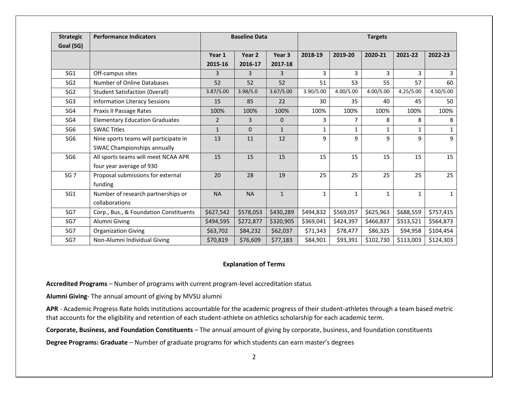| <b>Strategic</b><br>Goal (SG) | <b>Performance Indicators</b>                                        | <b>Baseline Data</b> |                   |                              | <b>Targets</b> |              |              |              |              |  |
|-------------------------------|----------------------------------------------------------------------|----------------------|-------------------|------------------------------|----------------|--------------|--------------|--------------|--------------|--|
|                               |                                                                      | Year 1<br>2015-16    | Year 2<br>2016-17 | Year <sub>3</sub><br>2017-18 | 2018-19        | 2019-20      | 2020-21      | 2021-22      | 2022-23      |  |
| SG <sub>1</sub>               | Off-campus sites                                                     | 3                    | 3                 | 3                            | 3              | 3            |              | 3            | 3            |  |
| SG <sub>2</sub>               | Number of Online Databases                                           | 52                   | 52                | 52                           | 51             | 53           | 55           | 57           | 60           |  |
| SG <sub>2</sub>               | <b>Student Satisfaction (Overall)</b>                                | 3.87/5.00            | 3.98/5.0          | 3.67/5.00                    | 3.90/5.00      | 4.00/5.00    | 4.00/5.00    | 4.25/5.00    | 4.50/5.00    |  |
| SG <sub>3</sub>               | <b>Information Literacy Sessions</b>                                 | 15                   | 85                | 22                           | 30             | 35           | 40           | 45           | 50           |  |
| SG4                           | Praxis II Passage Rates                                              | 100%                 | 100%              | 100%                         | 100%           | 100%         | 100%         | 100%         | 100%         |  |
| SG4                           | <b>Elementary Education Graduates</b>                                | $\overline{2}$       | 3                 | 0                            | 3              | 7            | 8            | 8            | 8            |  |
| SG <sub>6</sub>               | <b>SWAC Titles</b>                                                   | $\mathbf{1}$         | $\Omega$          | $\mathbf{1}$                 | $\mathbf{1}$   | $\mathbf{1}$ |              | 1            | $\mathbf{1}$ |  |
| SG <sub>6</sub>               | Nine sports teams will participate in<br>SWAC Championships annually | 13                   | 11                | 12                           | 9              | 9            | 9            | 9            | 9            |  |
| SG <sub>6</sub>               | All sports teams will meet NCAA APR<br>four year average of 930      | 15                   | 15                | 15                           | 15             | 15           | 15           | 15           | 15           |  |
| SG <sub>7</sub>               | Proposal submissions for external<br>funding                         | 20                   | 28                | 19                           | 25             | 25           | 25           | 25           | 25           |  |
| SG1                           | Number of research partnerships or<br>collaborations                 | <b>NA</b>            | <b>NA</b>         | $\mathbf{1}$                 | $\mathbf{1}$   | $\mathbf{1}$ | $\mathbf{1}$ | $\mathbf{1}$ | $\mathbf{1}$ |  |
| SG7                           | Corp., Bus., & Foundation Constituents                               | \$627,542            | \$578,053         | \$430,289                    | \$494,832      | \$569,057    | \$625,963    | \$688,559    | \$757,415    |  |
| SG7                           | Alumni Giving                                                        | \$494,595            | \$272,877         | \$320,905                    | \$369,041      | \$424,397    | \$466,837    | \$513,521    | \$564,873    |  |
| SG7                           | <b>Organization Giving</b>                                           | \$63,702             | \$84,232          | \$62,037                     | \$71,343       | \$78,477     | \$86,325     | \$94,958     | \$104,454    |  |
| SG7                           | Non-Alumni Individual Giving                                         | \$70,819             | \$76,609          | \$77,183                     | \$84,901       | \$93,391     | \$102,730    | \$113,003    | \$124,303    |  |

#### **Explanation of Terms**

**Accredited Programs** – Number of programs with current program-level accreditation status

**Alumni Giving**- The annual amount of giving by MVSU alumni

**APR** - Academic Progress Rate holds institutions accountable for the academic progress of their student-athletes through a team based metric that accounts for the eligibility and retention of each student-athlete on athletics scholarship for each academic term.

**Corporate, Business, and Foundation Constituents** – The annual amount of giving by corporate, business, and foundation constituents

**Degree Programs: Graduate** – Number of graduate programs for which students can earn master's degrees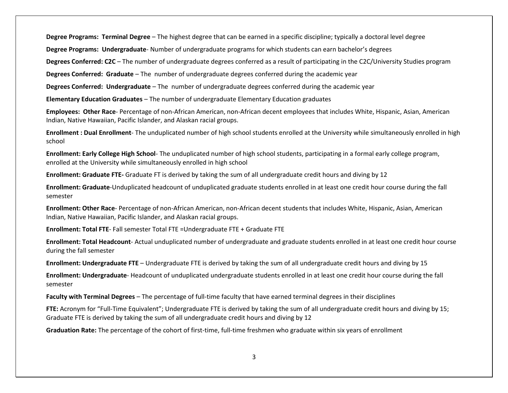**Degree Programs: Terminal Degree** – The highest degree that can be earned in a specific discipline; typically a doctoral level degree

**Degree Programs: Undergraduate**- Number of undergraduate programs for which students can earn bachelor's degrees

**Degrees Conferred: C2C** – The number of undergraduate degrees conferred as a result of participating in the C2C/University Studies program

**Degrees Conferred: Graduate** – The number of undergraduate degrees conferred during the academic year

**Degrees Conferred: Undergraduate** – The number of undergraduate degrees conferred during the academic year

**Elementary Education Graduates** – The number of undergraduate Elementary Education graduates

**Employees: Other Race**- Percentage of non-African American, non-African decent employees that includes White, Hispanic, Asian, American Indian, Native Hawaiian, Pacific Islander, and Alaskan racial groups.

**Enrollment : Dual Enrollment**- The unduplicated number of high school students enrolled at the University while simultaneously enrolled in high school

**Enrollment: Early College High School**- The unduplicated number of high school students, participating in a formal early college program, enrolled at the University while simultaneously enrolled in high school

**Enrollment: Graduate FTE-** Graduate FT is derived by taking the sum of all undergraduate credit hours and diving by 12

**Enrollment: Graduate**-Unduplicated headcount of unduplicated graduate students enrolled in at least one credit hour course during the fall semester

**Enrollment: Other Race**- Percentage of non-African American, non-African decent students that includes White, Hispanic, Asian, American Indian, Native Hawaiian, Pacific Islander, and Alaskan racial groups.

**Enrollment: Total FTE**- Fall semester Total FTE =Undergraduate FTE + Graduate FTE

**Enrollment: Total Headcount**- Actual unduplicated number of undergraduate and graduate students enrolled in at least one credit hour course during the fall semester

**Enrollment: Undergraduate FTE** – Undergraduate FTE is derived by taking the sum of all undergraduate credit hours and diving by 15

**Enrollment: Undergraduate**- Headcount of unduplicated undergraduate students enrolled in at least one credit hour course during the fall semester

**Faculty with Terminal Degrees** – The percentage of full-time faculty that have earned terminal degrees in their disciplines

**FTE:** Acronym for "Full-Time Equivalent"; Undergraduate FTE is derived by taking the sum of all undergraduate credit hours and diving by 15; Graduate FTE is derived by taking the sum of all undergraduate credit hours and diving by 12

**Graduation Rate:** The percentage of the cohort of first-time, full-time freshmen who graduate within six years of enrollment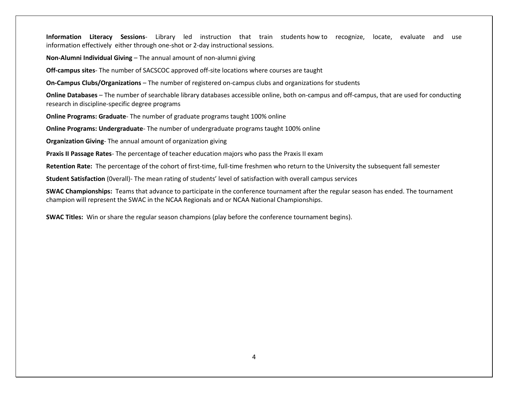**Information Literacy Sessions**- Library led instruction that train students how to recognize, locate, evaluate and use information effectively either through one-shot or 2-day instructional sessions.

**Non-Alumni Individual Giving** – The annual amount of non-alumni giving

**Off-campus sites**- The number of SACSCOC approved off-site locations where courses are taught

**On-Campus Clubs/Organizations** – The number of registered on-campus clubs and organizations for students

**Online Databases** – The number of searchable library databases accessible online, both on-campus and off-campus, that are used for conducting research in discipline-specific degree programs

**Online Programs: Graduate**- The number of graduate programs taught 100% online

**Online Programs: Undergraduate**- The number of undergraduate programs taught 100% online

**Organization Giving**- The annual amount of organization giving

**Praxis II Passage Rates**- The percentage of teacher education majors who pass the Praxis II exam

**Retention Rate:** The percentage of the cohort of first-time, full-time freshmen who return to the University the subsequent fall semester

**Student Satisfaction** (0verall)- The mean rating of students' level of satisfaction with overall campus services

**SWAC Championships:** Teams that advance to participate in the conference tournament after the regular season has ended. The tournament champion will represent the SWAC in the NCAA Regionals and or NCAA National Championships.

**SWAC Titles:** Win or share the regular season champions (play before the conference tournament begins).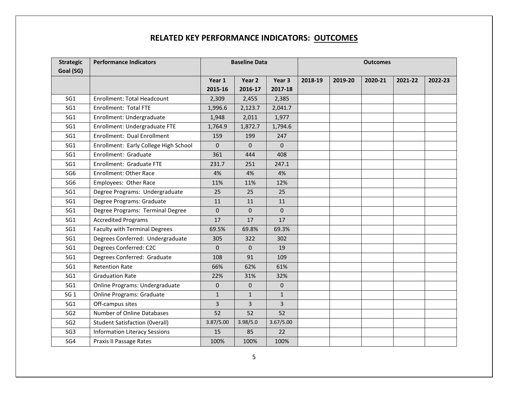### **RELATED KEY PERFORMANCE INDICATORS: OUTCOMES**

| <b>Strategic</b> | <b>Performance Indicators</b>         | <b>Baseline Data</b> |                |              | <b>Outcomes</b> |         |         |         |         |
|------------------|---------------------------------------|----------------------|----------------|--------------|-----------------|---------|---------|---------|---------|
| Goal (SG)        |                                       |                      |                |              |                 |         |         |         |         |
|                  |                                       | Year 1               | Year 2         | Year 3       | 2018-19         | 2019-20 | 2020-21 | 2021-22 | 2022-23 |
|                  |                                       | 2015-16              | 2016-17        | 2017-18      |                 |         |         |         |         |
| SG1              | <b>Enrollment: Total Headcount</b>    | 2,309                | 2,455          | 2,385        |                 |         |         |         |         |
| SG1              | Enrollment: Total FTE                 | 1,996.6              | 2,123.7        | 2,041.7      |                 |         |         |         |         |
| SG1              | Enrollment: Undergraduate             | 1,948                | 2,011          | 1,977        |                 |         |         |         |         |
| SG1              | Enrollment: Undergraduate FTE         | 1,764.9              | 1,872.7        | 1,794.6      |                 |         |         |         |         |
| SG1              | Enrollment: Dual Enrollment           | 159                  | 199            | 247          |                 |         |         |         |         |
| SG1              | Enrollment: Early College High School | $\Omega$             | $\Omega$       | $\Omega$     |                 |         |         |         |         |
| SG1              | Enrollment: Graduate                  | 361                  | 444            | 408          |                 |         |         |         |         |
| SG1              | Enrollment: Graduate FTE              | 231.7                | 251            | 247.1        |                 |         |         |         |         |
| SG <sub>6</sub>  | <b>Enrollment: Other Race</b>         | 4%                   | 4%             | 4%           |                 |         |         |         |         |
| SG <sub>6</sub>  | Employees: Other Race                 | 11%                  | 11%            | 12%          |                 |         |         |         |         |
| SG1              | Degree Programs: Undergraduate        | 25                   | 25             | 25           |                 |         |         |         |         |
| SG1              | Degree Programs: Graduate             | 11                   | 11             | 11           |                 |         |         |         |         |
| SG1              | Degree Programs: Terminal Degree      | $\mathbf{0}$         | $\Omega$       | $\Omega$     |                 |         |         |         |         |
| SG1              | <b>Accredited Programs</b>            | 17                   | 17             | 17           |                 |         |         |         |         |
| SG1              | <b>Faculty with Terminal Degrees</b>  | 69.5%                | 69.8%          | 69.3%        |                 |         |         |         |         |
| SG1              | Degrees Conferred: Undergraduate      | 305                  | 322            | 302          |                 |         |         |         |         |
| SG1              | Degrees Conferred: C2C                | $\mathbf{0}$         | $\mathbf{0}$   | 19           |                 |         |         |         |         |
| SG1              | Degrees Conferred: Graduate           | 108                  | 91             | 109          |                 |         |         |         |         |
| SG1              | <b>Retention Rate</b>                 | 66%                  | 62%            | 61%          |                 |         |         |         |         |
| SG1              | <b>Graduation Rate</b>                | 22%                  | 31%            | 32%          |                 |         |         |         |         |
| SG1              | Online Programs: Undergraduate        | $\mathbf{0}$         | $\mathbf{0}$   | 0            |                 |         |         |         |         |
| SG <sub>1</sub>  | <b>Online Programs: Graduate</b>      | $\mathbf{1}$         | $\mathbf{1}$   | $\mathbf{1}$ |                 |         |         |         |         |
| SG1              | Off-campus sites                      | 3                    | $\overline{3}$ | 3            |                 |         |         |         |         |
| SG <sub>2</sub>  | Number of Online Databases            | 52                   | 52             | 52           |                 |         |         |         |         |
| SG <sub>2</sub>  | <b>Student Satisfaction (Overall)</b> | 3.87/5.00            | 3.98/5.0       | 3.67/5.00    |                 |         |         |         |         |
| SG <sub>3</sub>  | <b>Information Literacy Sessions</b>  | 15                   | 85             | 22           |                 |         |         |         |         |
| SG4              | Praxis II Passage Rates               | 100%                 | 100%           | 100%         |                 |         |         |         |         |